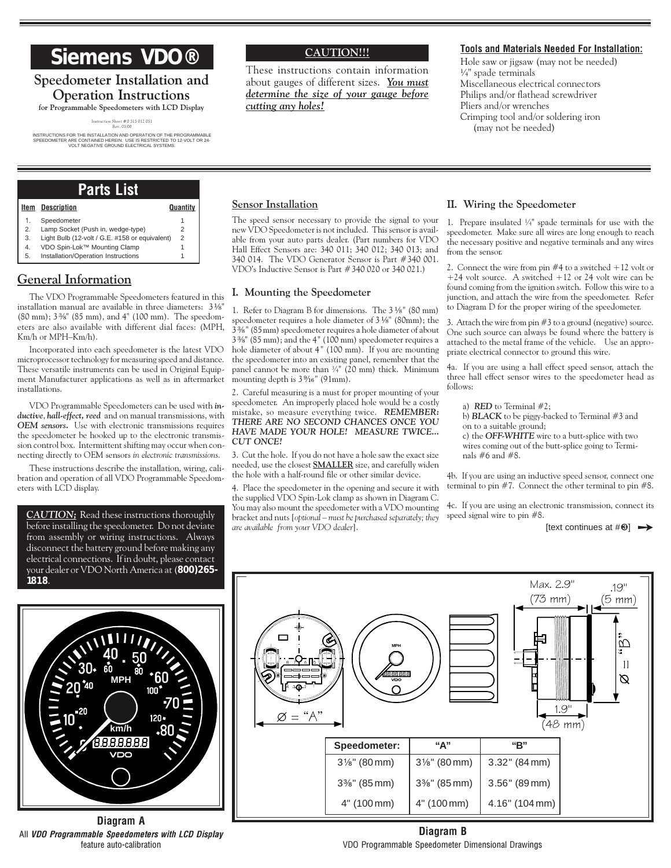# **Siemens VDO®**

## **Speedometer Installation and Operation Instructions**

**for Programmable Speedometers with LCD Display** Instruction Sheet # 0 515 012 051 Rev. 03/00

INSTRUCTIONS FOR THE INSTALLATION AND OPERATION OF THE PROGRAMMABLE SPEEDOMETER ARE CONTAINED HEREIN. USE IS RESTRICTED TO 12-VOLT OR 24- VOLT NEGATIVE GROUND ELECTRICAL SYSTEMS.

### **CAUTION!!!**

These instructions contain information about gauges of different sizes. *You must determine the size of your gauge before cutting any holes!*

#### **Tools and Materials Needed For Installation:**

Hole saw or jigsaw (may not be needed) ¼" spade terminals Miscellaneous electrical connectors Philips and/or flathead screwdriver Pliers and/or wrenches Crimping tool and/or soldering iron (may not be needed)

## **Parts List**

| Item | <b>Description</b>                             | Quantity |
|------|------------------------------------------------|----------|
| 1.   | Speedometer                                    |          |
| 2.   | Lamp Socket (Push in, wedge-type)              | 2        |
| 3.   | Light Bulb (12-volt / G.E. #158 or equivalent) | 2        |
| 4.   | VDO Spin-Lok™ Mounting Clamp                   |          |
| 5.   | Installation/Operation Instructions            |          |

## **General Information**

The VDO Programmable Speedometers featured in this installation manual are available in three diameters:  $3\frac{1}{8}$ " (80 mm); 3 %" (85 mm), and 4" (100 mm). The speedometers are also available with different dial faces: (MPH, Km/h or MPH-Km/h).

Incorporated into each speedometer is the latest VDO microprocessor technology for measuring speed and distance. These versatile instruments can be used in Original Equipment Manufacturer applications as well as in aftermarket installations.

VDO Programmable Speedometers can be used with *inductive*, *hall-effect, reed* and on manual transmissions, with *OEM sensors.* Use with electronic transmissions requires the speedometer be hooked up to the electronic transmission control box. Intermittent shifting may occur when connecting directly to OEM sensors *in electronic transmissions.*

These instructions describe the installation, wiring, calibration and operation of all VDO Programmable Speedometers with LCD display.

*CAUTION;* Read these instructions thoroughly before installing the speedometer. Do not deviate from assembly or wiring instructions. Always disconnect the battery ground before making any electrical connections. If in doubt, please contact your dealer or VDO North America at (**800)265- 1 818**.



**Diagram A** All *VDO Programmable Speedometers with LCD Display* feature auto-calibration

#### **Sensor Installation**

The speed sensor necessary to provide the signal to your new VDO Speedometer is not included. This sensor is available from your auto parts dealer. (Part numbers for VDO Hall Effect Sensors are: 340 011; 340 012; 340 013; and 340 014. The VDO Generator Sensor is Part #340 001. VDOs Inductive Sensor is Part #340 020 or 340 021.)

#### **I. Mounting the Speedometer**

1. Refer to Diagram B for dimensions. The 3 1/8" (80 mm) speedometer requires a hole diameter of 3 1⁄8" (80mm); the  $3\frac{2}{9}\%$ " (85 mm) speedometer requires a hole diameter of about 3 ³⁄₈" (85 mm); and the 4 " (100 mm) speedometer requires a hole diameter of about 4" (100 mm). If you are mounting the speedometer into an existing panel, remember that the panel cannot be more than  $\frac{3}{4}$ " (20 mm) thick. Minimum mounting depth is  $3\frac{9}{16}$ " (91mm).

2. Careful measuring is a must for proper mounting of your speedometer. An improperly placed hole would be a costly mistake, so measure everything twice. *REMEMBER: THERE ARE NO SECOND CHANCES ONCE YOU HAVE MADE YOUR HOLE! MEASURE TWICE... CUT ONCE!*

3. Cut the hole. If you do not have a hole saw the exact size needed, use the closest **SMALLER** size, and carefully widen the hole with a half-round file or other similar device.

4. Place the speedometer in the opening and secure it with the supplied VDO Spin-Lok clamp as shown in Diagram C. You may also mount the speedometer with a VDO mounting bracket and nuts [*optional must be purchased separately; they are available from your VDO dealer*].

#### **II. Wiring the Speedometer**

1. Prepare insulated ¼" spade terminals for use with the speedometer. Make sure all wires are long enough to reach the necessary positive and negative terminals and any wires from the sensor.

2. Connect the wire from pin #4 to a switched +12 volt or +24 volt source. A switched +12 or 24 volt wire can be found coming from the ignition switch. Follow this wire to a junction, and attach the wire from the speedometer. Refer to Diagram D for the proper wiring of the speedometer.

3. Attach the wire from pin #3 to a ground (negative) source. One such source can always be found where the battery is attached to the metal frame of the vehicle. Use an appropriate electrical connector to ground this wire.

4a. If you are using a hall effect speed sensor, attach the three hall effect sensor wires to the speedometer head as follows:

a) **RED** to Terminal  $#2$ ; b) *BLACK* to be piggy-backed to Terminal #3 and on to a suitable ground; c) the *OFF-WHITE* wire to a butt-splice with two wires coming out of the butt-splice going to Terminals #6 and #8.

4b. If you are using an inductive speed sensor, connect one terminal to pin #7. Connect the other terminal to pin #8.

4c. If you are using an electronic transmission, connect its speed signal wire to pin #8.

 $[text \; contours at # $⑤$ ]  $\rightarrow$$ 



**Diagram B** VDO Programmable Speedometer Dimensional Drawings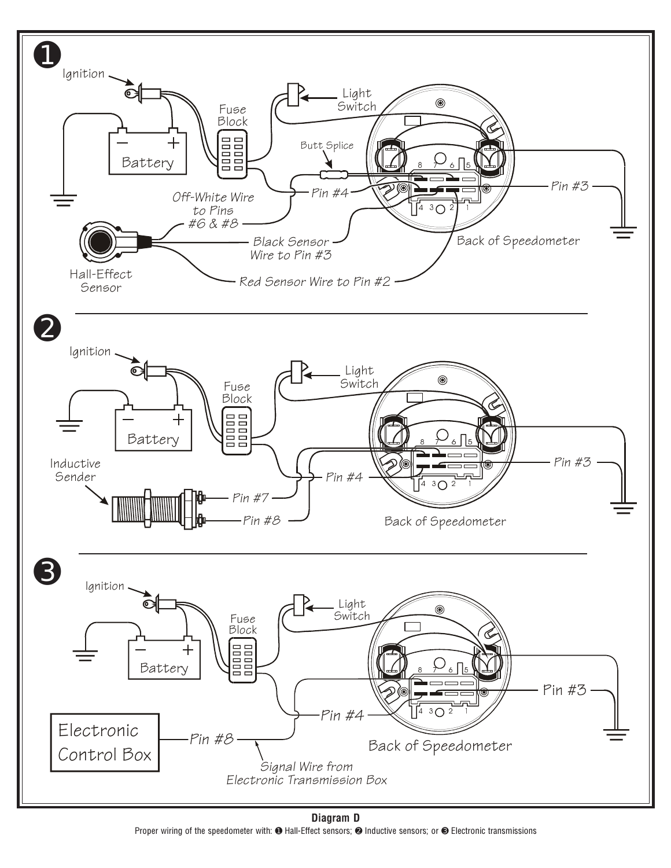

**Diagram D** Proper wiring of the speedometer with:  $\bullet$  Hall-Effect sensors;  $\bullet$  Inductive sensors; or  $\bullet$  Electronic transmissions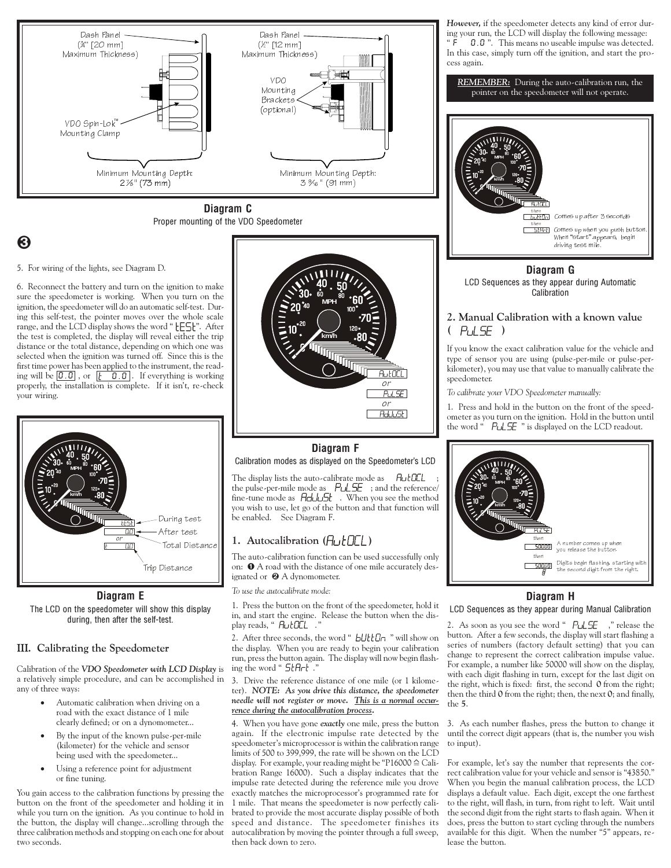

**Diagram C** Proper mounting of the VDO Speedometer

## Ì

5. For wiring of the lights, see Diagram D.

6. Reconnect the battery and turn on the ignition to make sure the speedometer is working. When you turn on the ignition, the speedometer will do an automatic self-test. During this self-test, the pointer moves over the whole scale range, and the LCD display shows the word " [ES]". After the test is completed, the display will reveal either the trip distance or the total distance, depending on which one was selected when the ignition was turned off. Since this is the first time power has been applied to the instrument, the reading will be  $\boxed{0.0}$ , or  $\boxed{b \quad 0.0}$ . If everything is working properly, the installation is complete. If it isn't, re-check your wiring.



**Diagram E** The LCD on the speedometer will show this display during, then after the self-test.

#### **III. Calibrating the Speedometer**

Calibration of the *VDO Speedometer with LCD Display* is a relatively simple procedure, and can be accomplished in any of three ways:

- Automatic calibration when driving on a road with the exact distance of 1 mile clearly defined; or on a dynomometer...
- · By the input of the known pulse-per-mile (kilometer) for the vehicle and sensor being used with the speedometer...
- · Using a reference point for adjustment or fine tuning.

You gain access to the calibration functions by pressing the button on the front of the speedometer and holding it in while you turn on the ignition. As you continue to hold in the button, the display will change...scrolling through the three calibration methods and stopping on each one for about two seconds.



### **Diagram F** Calibration modes as displayed on the Speedometer's LCD

The display lists the auto-calibrate mode as FutULL the pulse-per-mile mode as  $\sqrt{P}$  PULSE ; and the reference/ fine-tune mode as  $H_{\rm d}$   $H_{\rm d}$  . When you see the method you wish to use, let go of the button and that function will be enabled. See Diagram F.

#### 1. Autocalibration  $(H_U \nmid \Pi_L)$

The auto-calibration function can be used successfully only on:  $\bullet$  A road with the distance of one mile accurately designated or  $\Theta$  A dynomometer.

*To use the autocalibrate mode:*

1. Press the button on the front of the speedometer, hold it in, and start the engine. Release the button when the display reads, " HutDCL .

2. After three seconds, the word " bUttOn " will show on the display. When you are ready to begin your calibration run, press the button again. The display will now begin flashing the word " $5tHrt$ .

#### 3. Drive the reference distance of one mile (or 1 kilometer). *NOTE: As you drive this distance, the speedometer needle will not register or move. This is a normal occurrence during the autocalibration process.*

4. When you have gone *exactly* one mile, press the button again. If the electronic impulse rate detected by the speedometer's microprocessor is within the calibration range limits of 500 to 399,999, the rate will be shown on the LCD display. For example, your reading might be "P16000  $\cong$  Calibration Range 16000). Such a display indicates that the impulse rate detected during the reference mile you drove exactly matches the microprocessor's programmed rate for 1 mile. That means the speedometer is now perfectly calibrated to provide the most accurate display possible of both speed and distance. The speedometer finishes its autocalibration by moving the pointer through a full sweep, then back down to zero.

*However,* if the speedometer detects any kind of error during your run, the LCD will display the following message: F 0.0 . This means no useable impulse was detected. In this case, simply turn off the ignition, and start the process again.



**Diagram G** LCD Sequences as they appear during Automatic Calibration

#### **2. Manual Calibration with a known value**  $(P_1 | F)$

If you know the exact calibration value for the vehicle and type of sensor you are using (pulse-per-mile or pulse-perkilometer), you may use that value to manually calibrate the speedometer.

*To calibrate your VDO Speedometer manually:*

1. Press and hold in the button on the front of the speedometer as you turn on the ignition. Hold in the button until the word  $\cdot$   $PLSE$  " is displayed on the LCD readout.



#### **Diagram H**

LCD Sequences as they appear during Manual Calibration

2. As soon as you see the word " $P \cup \subseteq F$ , "release the button. After a few seconds, the display will start flashing a series of numbers (factory default setting) that you can change to represent the correct calibration impulse value. For example, a number like 50000 will show on the display, with each digit flashing in turn, except for the last digit on the right, which is fixed: first, the second **0** from the right; then the third **0** from the right; then, the next **0**; and finally, the **5**.

3. As each number flashes, press the button to change it until the correct digit appears (that is, the number you wish to input).

For example, let's say the number that represents the correct calibration value for your vehicle and sensor is "43850." When you begin the manual calibration process, the LCD displays a default value. Each digit, except the one farthest to the right, will flash, in turn, from right to left. Wait until the second digit from the right starts to flash again. When it does, press the button to start cycling through the numbers available for this digit. When the number "5" appears, release the button.